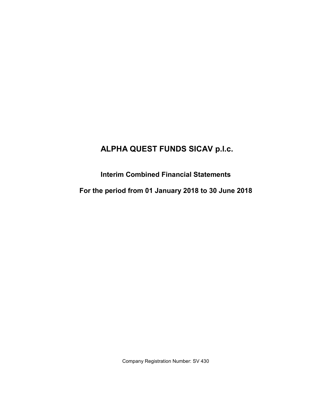**Interim Combined Financial Statements** 

**For the period from 01 January 2018 to 30 June 2018**

Company Registration Number: SV 430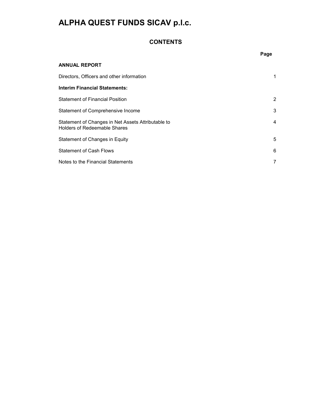## **CONTENTS**

|                                                                                           | Page           |
|-------------------------------------------------------------------------------------------|----------------|
| <b>ANNUAL REPORT</b>                                                                      |                |
| Directors, Officers and other information                                                 | 1              |
| <b>Interim Financial Statements:</b>                                                      |                |
| <b>Statement of Financial Position</b>                                                    | 2              |
| Statement of Comprehensive Income                                                         | 3              |
| Statement of Changes in Net Assets Attributable to<br><b>Holders of Redeemable Shares</b> | $\overline{4}$ |
| Statement of Changes in Equity                                                            | 5              |
| <b>Statement of Cash Flows</b>                                                            | 6              |
| Notes to the Financial Statements                                                         | 7              |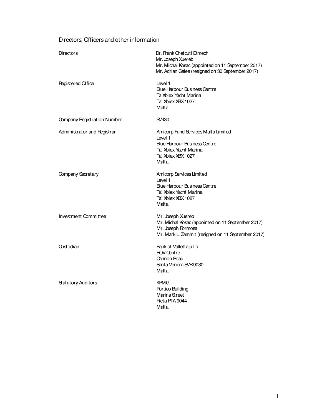## Directors, Officers and other information

| Directors                   | Dr. Frank Chetcuti Dimech<br>Mr. Joseph Xuereb<br>Mr. Michal Kosac (appointed on 11 September 2017)<br>Mr. Adrian Galea (resigned on 30 September 2017) |
|-----------------------------|---------------------------------------------------------------------------------------------------------------------------------------------------------|
| <b>Registered Office</b>    | Level 1<br><b>Blue Harbour Business Centre</b><br>Ta Xbiex Yacht Marina<br>Ta' Xbiex XBX 1027<br>Malta                                                  |
| Company Registration Number | SV430                                                                                                                                                   |
| Administrator and Registrar | Amicorp Fund Services Malta Limited<br>Level 1<br><b>Blue Harbour Business Centre</b><br>Ta' Xbiex Yacht Marina<br>Ta' Xbiex XBX 1027<br>Malta          |
| Company Secretary           | Amicorp Services Limited<br>Level 1<br><b>Blue Harbour Business Centre</b><br>Ta' Xbiex Yacht Marina<br>Ta' Xbiex XBX 1027<br>Malta                     |
| Investment Committee        | Mr. Joseph Xuereb<br>Mr. Michal Kosac (appointed on 11 September 2017)<br>Mr. Joseph Formosa<br>Mr. Mark L Zammit (resigned on 11 September 2017)       |
| Qustodian                   | Bank of Valletta p.l.c.<br><b>BOV Centre</b><br>Cannon Road<br>Santa Venera SVR9030<br>Malta                                                            |
| <b>Statutory Auditors</b>   | <b>KPMG</b><br>Portico Building<br>Marina Street<br>Pieta PTA 9044<br>Malta                                                                             |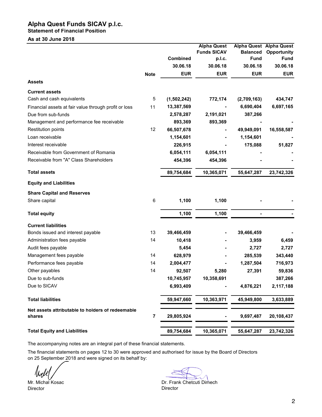### **Alpha Quest Funds SICAV p.l.c.**

**Statement of Financial Position**

**As at 30 June 2018**

|                                                       |                         |                 | <b>Alpha Quest</b><br><b>Funds SICAV</b> | <b>Balanced</b> | Alpha Quest Alpha Quest<br>Opportunity |
|-------------------------------------------------------|-------------------------|-----------------|------------------------------------------|-----------------|----------------------------------------|
|                                                       |                         | <b>Combined</b> | p.l.c.                                   | <b>Fund</b>     | <b>Fund</b>                            |
|                                                       |                         | 30.06.18        | 30.06.18                                 | 30.06.18        | 30.06.18                               |
|                                                       | <b>Note</b>             | <b>EUR</b>      | <b>EUR</b>                               | <b>EUR</b>      | <b>EUR</b>                             |
| <b>Assets</b>                                         |                         |                 |                                          |                 |                                        |
| <b>Current assets</b>                                 |                         |                 |                                          |                 |                                        |
| Cash and cash equivalents                             | 5                       | (1,502,242)     | 772,174                                  | (2,709,163)     | 434,747                                |
| Financial assets at fair value through profit or loss | 11                      | 13,387,569      |                                          | 6,690,404       | 6,697,165                              |
| Due from sub-funds                                    |                         | 2,578,287       | 2,191,021                                | 387,266         |                                        |
| Management and performance fee receivable             |                         | 893,369         | 893,369                                  |                 |                                        |
| <b>Restitution points</b>                             | 12                      | 66,507,678      |                                          | 49,949,091      | 16,558,587                             |
| Loan receivable                                       |                         | 1,154,601       |                                          | 1,154,601       |                                        |
| Interest receivable                                   |                         | 226,915         |                                          | 175,088         | 51,827                                 |
| Receivable from Government of Romania                 |                         | 6,054,111       | 6,054,111                                |                 |                                        |
| Receivable from "A" Class Shareholders                |                         | 454,396         | 454,396                                  |                 |                                        |
| <b>Total assets</b>                                   |                         | 89,754,684      | 10,365,071                               | 55,647,287      | 23,742,326                             |
| <b>Equity and Liabilities</b>                         |                         |                 |                                          |                 |                                        |
| <b>Share Capital and Reserves</b>                     |                         |                 |                                          |                 |                                        |
| Share capital                                         | 6                       | 1,100           | 1,100                                    |                 |                                        |
| <b>Total equity</b>                                   |                         | 1,100           | 1,100                                    |                 |                                        |
| <b>Current liabilities</b>                            |                         |                 |                                          |                 |                                        |
| Bonds issued and interest payable                     | 13                      | 39,466,459      |                                          | 39,466,459      |                                        |
| Administration fees payable                           | 14                      | 10,418          |                                          | 3,959           | 6,459                                  |
| Audit fees payable                                    |                         | 5,454           |                                          | 2,727           | 2,727                                  |
| Management fees payable                               | 14                      | 628,979         |                                          | 285,539         | 343,440                                |
| Performance fees payable                              | 14                      | 2,004,477       |                                          | 1,287,504       | 716,973                                |
| Other payables                                        | 14                      | 92,507          | 5,280                                    | 27,391          | 59,836                                 |
| Due to sub-funds                                      |                         | 10,745,957      | 10,358,691                               |                 | 387,266                                |
| Due to SICAV                                          |                         | 6,993,409       |                                          | 4,876,221       | 2,117,188                              |
| <b>Total liabilities</b>                              |                         | 59,947,660      | 10,363,971                               | 45,949,800      | 3,633,889                              |
| Net assets attributable to holders of redeemable      |                         |                 |                                          |                 |                                        |
| shares                                                | $\overline{\mathbf{7}}$ | 29,805,924      |                                          | 9,697,487       | 20,108,437                             |
| <b>Total Equity and Liabilities</b>                   |                         | 89,754,684      | 10,365,071                               | 55,647,287      | 23,742,326                             |

The accompanying notes are an integral part of these financial statements.

The financial statements on pages 12 to 30 were approved and authorised for issue by the Board of Directors on 25 September 2018 and were signed on its behalf by:

Director Director

Mr. Michal Kosac **Dr. Frank Chetcuti Dimech**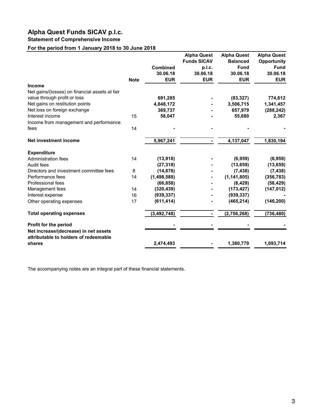### **Alpha Quest Funds SICAV p.l.c. Statement of Comprehensive Income**

### **For the period from 1 January 2018 to 30 June 2018**

|                                                 |             |                 | <b>Alpha Quest</b> | <b>Alpha Quest</b> | <b>Alpha Quest</b> |
|-------------------------------------------------|-------------|-----------------|--------------------|--------------------|--------------------|
|                                                 |             |                 | <b>Funds SICAV</b> | <b>Balanced</b>    | Opportunity        |
|                                                 |             | <b>Combined</b> | p.l.c.             | <b>Fund</b>        | <b>Fund</b>        |
|                                                 |             | 30.06.18        | 30.06.18           | 30.06.18           | 30.06.18           |
|                                                 | <b>Note</b> | <b>EUR</b>      | <b>EUR</b>         | <b>EUR</b>         | <b>EUR</b>         |
| Income                                          |             |                 |                    |                    |                    |
| Net gains/(losses) on financial assets at fair  |             |                 |                    |                    |                    |
| value through profit or loss                    |             | 691,285         |                    | (83, 327)          | 774,612            |
| Net gains on restitution points                 |             | 4,848,172       |                    | 3,506,715          | 1,341,457          |
| Net loss on foreign exchange                    |             | 369,737         |                    | 657,979            | (288, 242)         |
| Interest income                                 | 15          | 58,047          |                    | 55,680             | 2,367              |
| Income from management and performance          |             |                 |                    |                    |                    |
| fees                                            | 14          |                 |                    |                    |                    |
| Net investment income                           |             | 5,967,241       |                    | 4,137,047          | 1,830,194          |
| <b>Expenditure</b>                              |             |                 |                    |                    |                    |
| Administration fees                             | 14          | (13,918)        |                    | (6,959)            | (6,959)            |
| Audit fees                                      |             | (27, 318)       |                    | (13, 659)          | (13, 659)          |
| Directors and investment committee fees         | 8           | (14, 876)       |                    | (7, 438)           | (7, 438)           |
| Performance fees                                | 14          | (1, 498, 588)   |                    | (1, 141, 805)      | (356, 783)         |
| Professional fees                               |             | (66, 858)       |                    | (8, 429)           | (58, 429)          |
| Management fees                                 | 14          | (320, 439)      |                    | (173, 427)         | (147, 012)         |
| Interest expense                                | 16          | (939, 337)      |                    | (939, 337)         |                    |
| Other operating expenses                        | 17          | (611, 414)      |                    | (465, 214)         | (146, 200)         |
| <b>Total operating expenses</b>                 |             | (3, 492, 748)   |                    | (2,756,268)        | (736, 480)         |
| Profit for the period                           |             |                 |                    |                    |                    |
| Net increase/(decrease) in net assets           |             |                 |                    |                    |                    |
| attributable to holders of redeemable<br>shares |             | 2,474,493       |                    | 1,380,779          | 1,093,714          |
|                                                 |             |                 |                    |                    |                    |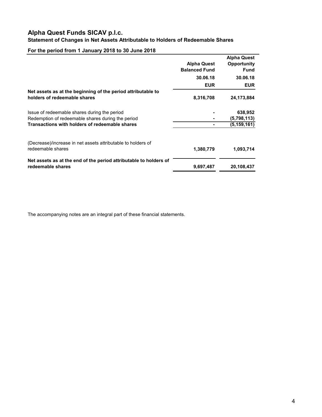## **Alpha Quest Funds SICAV p.l.c.**

### **Statement of Changes in Net Assets Attributable to Holders of Redeemable Shares**

### **For the period from 1 January 2018 to 30 June 2018**

|                                                                   |                      | <b>Alpha Quest</b> |
|-------------------------------------------------------------------|----------------------|--------------------|
|                                                                   | <b>Alpha Quest</b>   | <b>Opportunity</b> |
|                                                                   | <b>Balanced Fund</b> | <b>Fund</b>        |
|                                                                   | 30.06.18             | 30.06.18           |
|                                                                   | <b>EUR</b>           | <b>EUR</b>         |
| Net assets as at the beginning of the period attributable to      |                      |                    |
| holders of redeemable shares                                      | 8,316,708            | 24,173,884         |
| Issue of redeemable shares during the period                      |                      | 638,952            |
| Redemption of redeemable shares during the period                 |                      | (5,798,113)        |
| Transactions with holders of redeemable shares                    |                      | (5,159,161)        |
| (Decrease)/increase in net assets attributable to holders of      |                      |                    |
| redeemable shares                                                 | 1,380,779            | 1,093,714          |
| Net assets as at the end of the period attributable to holders of |                      |                    |
| redeemable shares                                                 | 9,697,487            | 20,108,437         |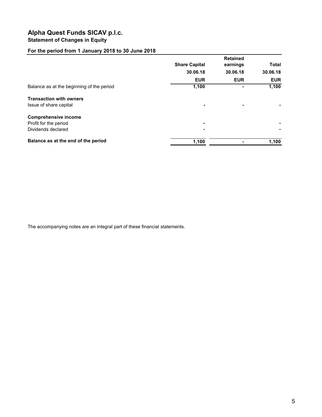## **Alpha Quest Funds SICAV p.l.c. Statement of Changes in Equity**

## **For the period from 1 January 2018 to 30 June 2018**

|                                           |                      | <b>Retained</b> |            |
|-------------------------------------------|----------------------|-----------------|------------|
|                                           | <b>Share Capital</b> | earnings        | Total      |
|                                           | 30.06.18             | 30.06.18        | 30.06.18   |
|                                           | <b>EUR</b>           | <b>EUR</b>      | <b>EUR</b> |
| Balance as at the beginning of the period | 1,100                |                 | 1,100      |
| <b>Transaction with owners</b>            |                      |                 |            |
| Issue of share capital                    |                      |                 |            |
| <b>Comprehensive income</b>               |                      |                 |            |
| Profit for the period                     |                      |                 |            |
| Dividends declared                        |                      |                 |            |
| Balance as at the end of the period       | 1,100                |                 | 1,100      |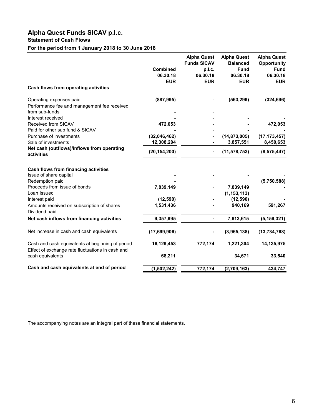## **Alpha Quest Funds SICAV p.l.c. Statement of Cash Flows**

**For the period from 1 January 2018 to 30 June 2018**

| <b>Cash flows from operating activities</b>                                                          | <b>Combined</b><br>06.30.18<br><b>EUR</b> | <b>Alpha Quest</b><br><b>Funds SICAV</b><br>p.l.c.<br>06.30.18<br><b>EUR</b> | <b>Alpha Quest</b><br><b>Balanced</b><br><b>Fund</b><br>06.30.18<br><b>EUR</b> | <b>Alpha Quest</b><br>Opportunity<br><b>Fund</b><br>06.30.18<br><b>EUR</b> |
|------------------------------------------------------------------------------------------------------|-------------------------------------------|------------------------------------------------------------------------------|--------------------------------------------------------------------------------|----------------------------------------------------------------------------|
|                                                                                                      |                                           |                                                                              |                                                                                |                                                                            |
| Operating expenses paid                                                                              | (887, 995)                                |                                                                              | (563, 299)                                                                     | (324, 696)                                                                 |
| Performance fee and management fee received<br>from sub-funds                                        |                                           |                                                                              |                                                                                |                                                                            |
| Interest received                                                                                    |                                           |                                                                              |                                                                                |                                                                            |
| Received from SICAV                                                                                  | 472,053                                   |                                                                              |                                                                                | 472,053                                                                    |
| Paid for other sub fund & SICAV                                                                      |                                           |                                                                              |                                                                                |                                                                            |
| Purchase of investments                                                                              | (32,046,462)                              |                                                                              | (14, 873, 005)                                                                 | (17, 173, 457)                                                             |
| Sale of investments                                                                                  | 12,308,204                                |                                                                              | 3,857,551                                                                      | 8,450,653                                                                  |
| Net cash (outflows)/inflows from operating<br>activities                                             | (20, 154, 200)                            |                                                                              | (11, 578, 753)                                                                 | (8, 575, 447)                                                              |
| <b>Cash flows from financing activities</b><br>Issue of share capital                                |                                           |                                                                              |                                                                                |                                                                            |
| Redemption paid                                                                                      |                                           |                                                                              |                                                                                | (5,750,588)                                                                |
| Proceeds from issue of bonds                                                                         | 7,839,149                                 |                                                                              | 7,839,149                                                                      |                                                                            |
| Loan Issued                                                                                          |                                           |                                                                              | (1, 153, 113)                                                                  |                                                                            |
| Interest paid                                                                                        | (12, 590)                                 |                                                                              | (12, 590)                                                                      |                                                                            |
| Amounts received on subscription of shares<br>Dividend paid                                          | 1,531,436                                 |                                                                              | 940,169                                                                        | 591,267                                                                    |
| Net cash inflows from financing activities                                                           | 9,357,995                                 |                                                                              | 7,613,615                                                                      | (5, 159, 321)                                                              |
| Net increase in cash and cash equivalents                                                            | (17,699,906)                              |                                                                              | (3,965,138)                                                                    | (13,734,768)                                                               |
| Cash and cash equivalents at beginning of period<br>Effect of exchange rate fluctuations in cash and | 16,129,453                                | 772,174                                                                      | 1,221,304                                                                      | 14,135,975                                                                 |
| cash equivalents                                                                                     | 68,211                                    |                                                                              | 34,671                                                                         | 33,540                                                                     |
| Cash and cash equivalents at end of period                                                           | (1,502,242)                               | 772,174                                                                      | (2,709,163)                                                                    | 434,747                                                                    |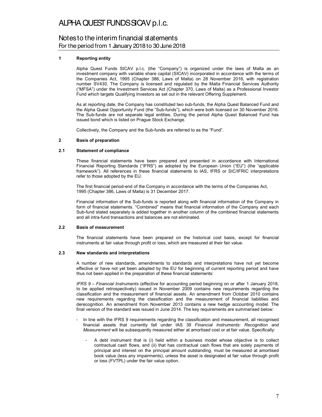## Notes to the interim financial statements For the period from 1 January 2018 to 30 June 2018

#### **1 Reporting entity**

Alpha Quest Funds SICAV p.l.c. (the "Company") is organized under the laws of Malta as an investment company with variable share capital (SICAV) incorporated in accordance with the terms of the Companies Act, 1995 (Chapter 386, Laws of Malta) on 28 November 2016, with registration number SV430. The Company is licensed and regulated by the Malta Financial Services Authority ("MFSA") under the Investment Services Act (Chapter 370, Laws of Malta) as a Professional Investor Fund which targets Qualifying Investors as set out in the relevant Offering Supplement.

As at reporting date, the Company has constituted two sub-funds, the Alpha Quest Balanced Fund and the Alpha Quest Opportunity Fund (the "Sub-funds"), which were both licensed on 30 November 2016. The Sub-funds are not separate legal entities. During the period Alpha Quest Balanced Fund has issued bond which is listed on Prague Stock Exchange.

Collectively, the Company and the Sub-funds are referred to as the "Fund".

#### **2 Basis of preparation**

#### **2.1 Statement of compliance**

These financial statements have been prepared and presented in accordance with International Financial Reporting Standards ("IFRS") as adopted by the European Union ("EU") (the "applicable framework"). All references in these financial statements to IAS, IFRS or SIC/IFRIC interpretations refer to those adopted by the EU.

The first financial period-end of the Company in accordance with the terms of the Companies Act, 1995 (Chapter 386, Laws of Malta) is 31 December 2017.

Financial information of the Sub-funds is reported along with financial information of the Company in form of financial statements. "Combined" means that financial information of the Company and each Sub-fund stated separately is added together in another column of the combined financial statements and all intra-fund transactions and balances are not eliminated.

#### **2.2 Basis of measurement**

The financial statements have been prepared on the historical cost basis, except for financial instruments at fair value through profit or loss, which are measured at their fair value.

#### **2.3 New standards and interpretations**

A number of new standards, amendments to standards and interpretations have not yet become effective or have not yet been adopted by the EU for beginning of current reporting period and have thus not been applied in the preparation of these financial statements:

*IFRS 9 – Financial Instruments* (effective for accounting period beginning on or after 1 January 2018, to be applied retrospectively) issued in November 2009 contains new requirements regarding the classification and the measurement of financial assets. An amendment from October 2010 contains new requirements regarding the classification and the measurement of financial liabilities and derecognition. An amendment from November 2013 contains a new hedge accounting model. The final version of the standard was issued in June 2014. The key requirements are summarised below:

- In line with the IFRS 9 requirements regarding the classification and measurement, all recognised financial assets that currently fall under IAS 39 *Financial Instruments: Recognition and Measurement* will be subsequently measured either at amortised cost or at fair value. Specifically:
	- A debt instrument that is (i) held within a business model whose objective is to collect contractual cash flows, and (ii) that has contractual cash flows that are solely payments of principal and interest on the principal amount outstanding, must be measured at amortised book value (less any impairments), unless the asset is designated at fair value through profit or loss (FVTPL) under the fair value option.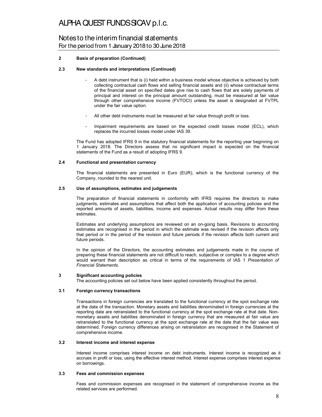### Notes to the interim financial statements For the period from 1 January 2018 to 30 June 2018

#### **2 Basis of preparation (Continued)**

#### **2.3 New standards and interpretations (Continued)**

- A debt instrument that is (i) held within a business model whose objective is achieved by both collecting contractual cash flows and selling financial assets and (ii) whose contractual terms of the financial asset on specified dates give rise to cash flows that are solely payments of principal and interest on the principal amount outstanding, must be measured at fair value through other comprehensive income (FVTOCI) unless the asset is designated at FVTPL under the fair value option.
- All other debt instruments must be measured at fair value through profit or loss.
- Impairment requirements are based on the expected credit losses model (ECL), which replaces the incurred losses model under IAS 39.

The Fund has adopted IFRS 9 in the statutory financial statements for the reporting year beginning on 1 January 2018. The Directors assess that no significant impact is expected on the financial statements of the Fund as a result of adopting IFRS 9.

#### **2.4 Functional and presentation currency**

The financial statements are presented in Euro (EUR), which is the functional currency of the Company, rounded to the nearest unit.

#### **2.5 Use of assumptions, estimates and judgements**

The preparation of financial statements in conformity with IFRS requires the directors to make judgments, estimates and assumptions that affect both the application of accounting policies and the reported amounts of assets, liabilities, income and expenses. Actual results may differ from these estimates.

Estimates and underlying assumptions are reviewed on an on-going basis. Revisions to accounting estimates are recognised in the period in which the estimate was revised if the revision affects only that period or in the period of the revision and future periods if the revision affects both current and future periods.

In the opinion of the Directors, the accounting estimates and judgements made in the course of preparing these financial statements are not difficult to reach, subjective or complex to a degree which would warrant their description as critical in terms of the requirements of IAS 1 *Presentation of Financial Statements*.

#### **3 Significant accounting policies**

The accounting policies set out below have been applied consistently throughout the period.

#### **3.1 Foreign currency transactions**

Transactions in foreign currencies are translated to the functional currency at the spot exchange rate at the date of the transaction. Monetary assets and liabilities denominated in foreign currencies at the reporting date are retranslated to the functional currency at the spot exchange rate at that date. Nonmonetary assets and liabilities denominated in foreign currency that are measured at fair value are retranslated to the functional currency at the spot exchange rate at the date that the fair value was determined. Foreign currency differences arising on retranslation are recognised in the Statement of comprehensive income.

#### **3.2 Interest income and interest expense**

Interest income comprises interest income on debt instruments. Interest income is recognized as it accrues in profit or loss, using the effective interest method. Interest expense comprises interest expense on borrowings.

#### **3.3 Fees and commission expenses**

Fees and commission expenses are recognised in the statement of comprehensive income as the related services are performed.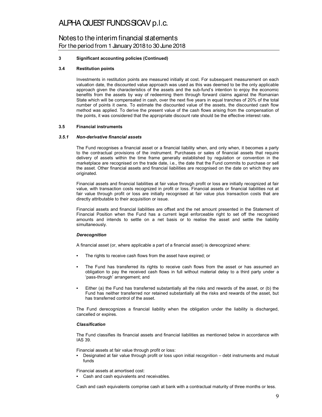## Notes to the interim financial statements For the period from 1 January 2018 to 30 June 2018

#### **3 Significant accounting policies (Continued)**

#### **3.4 Restitution points**

Investments in restitution points are measured initially at cost. For subsequent measurement on each valuation date, the discounted value approach was used as this was deemed to be the only applicable approach given the characteristics of the assets and the sub-fund's intention to enjoy the economic benefits from the assets by way of redeeming them through forward claims against the Romanian State which will be compensated in cash, over the next five years in equal tranches of 20% of the total number of points it owns. To estimate the discounted value of the assets, the discounted cash flow method was applied. To derive the present value of the cash flows arising from the compensation of the points, it was considered that the appropriate discount rate should be the effective interest rate.

#### **3.5 Financial instruments**

#### *3.5.1 Non-derivative financial assets*

The Fund recognises a financial asset or a financial liability when, and only when, it becomes a party to the contractual provisions of the instrument. Purchases or sales of financial assets that require delivery of assets within the time frame generally established by regulation or convention in the marketplace are recognised on the trade date, i.e., the date that the Fund commits to purchase or sell the asset. Other financial assets and financial liabilities are recognised on the date on which they are originated.

Financial assets and financial liabilities at fair value through profit or loss are initially recognized at fair value, with transaction costs recognized in profit or loss. Financial assets or financial liabilities not at fair value through profit or loss are initially recognised at fair value plus transaction costs that are directly attributable to their acquisition or issue.

Financial assets and financial liabilities are offset and the net amount presented in the Statement of Financial Position when the Fund has a current legal enforceable right to set off the recognised amounts and intends to settle on a net basis or to realise the asset and settle the liability simultaneously.

#### *Derecognition*

A financial asset (or, where applicable a part of a financial asset) is derecognized where:

- The rights to receive cash flows from the asset have expired; or
- The Fund has transferred its rights to receive cash flows from the asset or has assumed an obligation to pay the received cash flows in full without material delay to a third party under a 'pass-through' arrangement; and
- Either (a) the Fund has transferred substantially all the risks and rewards of the asset, or (b) the Fund has neither transferred nor retained substantially all the risks and rewards of the asset, but has transferred control of the asset.

The Fund derecognizes a financial liability when the obligation under the liability is discharged, cancelled or expires.

#### *Classification*

The Fund classifies its financial assets and financial liabilities as mentioned below in accordance with IAS 39.

Financial assets at fair value through profit or loss:

• Designated at fair value through profit or loss upon initial recognition – debt instruments and mutual funds

Financial assets at amortised cost:

Cash and cash equivalents and receivables.

Cash and cash equivalents comprise cash at bank with a contractual maturity of three months or less.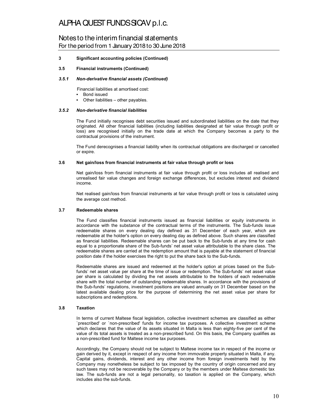## Notes to the interim financial statements For the period from 1 January 2018 to 30 June 2018

#### **3 Significant accounting policies (Continued)**

#### **3.5 Financial instruments (Continued)**

#### *3.5.1 Non-derivative financial assets (Continued)*

Financial liabilities at amortised cost:

- Bond issued
- Other liabilities other payables.

#### *3.5.2 Non-derivative financial liabilities*

The Fund initially recognises debt securities issued and subordinated liabilities on the date that they originated. All other financial liabilities (including liabilities designated at fair value through profit or loss) are recognised initially on the trade date at which the Company becomes a party to the contractual provisions of the instrument.

The Fund derecognises a financial liability when its contractual obligations are discharged or cancelled or expire.

#### **3.6 Net gain/loss from financial instruments at fair value through profit or loss**

Net gain/loss from financial instruments at fair value through profit or loss includes all realised and unrealised fair value changes and foreign exchange differences, but excludes interest and dividend income.

Net realised gain/loss from financial instruments at fair value through profit or loss is calculated using the average cost method.

#### **3.7 Redeemable shares**

The Fund classifies financial instruments issued as financial liabilities or equity instruments in accordance with the substance of the contractual terms of the instruments. The Sub-funds issue redeemable shares on every dealing day defined as 31 December of each year, which are redeemable at the holder's option on every dealing day as defined above. Such shares are classified as financial liabilities. Redeemable shares can be put back to the Sub-funds at any time for cash equal to a proportionate share of the Sub-funds' net asset value attributable to the share class. The redeemable shares are carried at the redemption amount that is payable at the statement of financial position date if the holder exercises the right to put the share back to the Sub-funds.

Redeemable shares are issued and redeemed at the holder's option at prices based on the Subfunds' net asset value per share at the time of issue or redemption. The Sub-funds' net asset value per share is calculated by dividing the net assets attributable to the holders of each redeemable share with the total number of outstanding redeemable shares. In accordance with the provisions of the Sub-funds' regulations, investment positions are valued annually on 31 December based on the latest available dealing price for the purpose of determining the net asset value per share for subscriptions and redemptions.

#### **3.8 Taxation**

In terms of current Maltese fiscal legislation, collective investment schemes are classified as either `prescribed' or `non-prescribed' funds for income tax purposes. A collective investment scheme which declares that the value of its assets situated in Malta is less than eighty-five per cent of the value of its total assets is treated as a non-prescribed fund. On this basis, the Company qualifies as a non-prescribed fund for Maltese income tax purposes.

Accordingly, the Company should not be subject to Maltese income tax in respect of the income or gain derived by it, except in respect of any income from immovable property situated in Malta, if any. Capital gains, dividends, interest and any other income from foreign investments held by the Company may nonetheless be subject to tax imposed by the country of origin concerned and any such taxes may not be recoverable by the Company or by the members under Maltese domestic tax law. The sub-funds are not a legal personality, so taxation is applied on the Company, which includes also the sub-funds.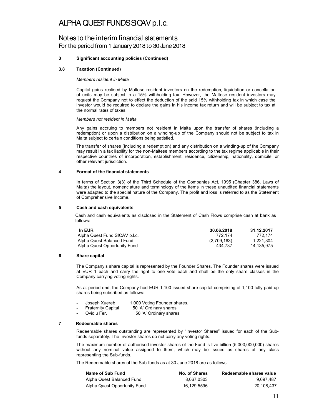## Notes to the interim financial statements For the period from 1 January 2018 to 30 June 2018

#### **3 Significant accounting policies (Continued)**

#### **3.8 Taxation (Continued)**

#### *Members resident in Malta*

Capital gains realised by Maltese resident investors on the redemption, liquidation or cancellation of units may be subject to a 15% withholding tax. However, the Maltese resident investors may request the Company not to effect the deduction of the said 15% withholding tax in which case the investor would be required to declare the gains in his income tax return and will be subject to tax at the normal rates of taxes.

#### *Members not resident in Malta*

Any gains accruing to members not resident in Malta upon the transfer of shares (including a redemption) or upon a distribution on a winding-up of the Company should not be subject to tax in Malta subject to certain conditions being satisfied.

The transfer of shares (including a redemption) and any distribution on a winding-up of the Company may result in a tax liability for the non-Maltese members according to the tax regime applicable in their respective countries of incorporation, establishment, residence, citizenship, nationality, domicile, or other relevant jurisdiction.

#### **4 Format of the financial statements**

In terms of Section 3(3) of the Third Schedule of the Companies Act, 1995 (Chapter 386, Laws of Malta) the layout, nomenclature and terminology of the items in these unaudited financial statements were adapted to the special nature of the Company. The profit and loss is referred to as the Statement of Comprehensive Income.

#### **5 Cash and cash equivalents**

Cash and cash equivalents as disclosed in the Statement of Cash Flows comprise cash at bank as follows:

| In EUR                        | 30.06.2018  | 31.12.2017 |
|-------------------------------|-------------|------------|
| Alpha Quest Fund SICAV p.l.c. | 772.174     | 772.174    |
| Alpha Quest Balanced Fund     | (2.709.163) | 1.221.304  |
| Alpha Quest Opportunity Fund  | 434.737     | 14.135.975 |

#### **6 Share capital**

The Company's share capital is represented by the Founder Shares. The Founder shares were issued at EUR 1 each and carry the right to one vote each and shall be the only share classes in the Company carrying voting rights.

As at period end, the Company had EUR 1,100 issued share capital comprising of 1,100 fully paid-up shares being subsribed as follows:

|  | Joseph Xuereb | 1,000 Voting Founder shares. |
|--|---------------|------------------------------|
|--|---------------|------------------------------|

- Fraternity Capital 50 'A' Ordinary shares<br>
Ovidiu Fer. 50 'A' Ordinary share
- 50 'A' Ordinary shares

#### **7 Redeemable shares**

Redeemable shares outstanding are represented by "Investor Shares" issued for each of the Subfunds separately. The Investor shares do not carry any voting rights.

The maximum number of authorised investor shares of the Fund is five billion (5,000,000,000) shares without any nominal value assigned to them, which may be issued as shares of any class representing the Sub-funds.

The Redeemable shares of the Sub-funds as at 30 June 2018 are as follows:

| Name of Sub Fund             | No. of Shares | Redeemable shares value |
|------------------------------|---------------|-------------------------|
| Alpha Quest Balanced Fund    | 8.067.0303    | 9.697.487               |
| Alpha Quest Opportunity Fund | 16.129.5596   | 20.108.437              |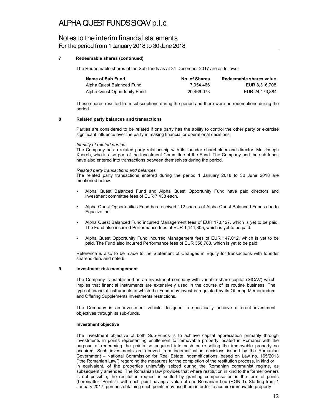### Notes to the interim financial statements For the period from 1 January 2018 to 30 June 2018

#### **7 Redeemable shares (continued)**

The Redeemable shares of the Sub-funds as at 31 December 2017 are as follows:

| Name of Sub Fund             | No. of Shares | Redeemable shares value |
|------------------------------|---------------|-------------------------|
| Alpha Quest Balanced Fund    | 7.954.466     | EUR 8.316.708           |
| Alpha Quest Opportunity Fund | 20.466.073    | EUR 24.173.884          |

These shares resulted from subscriptions during the period and there were no redemptions during the period.

#### **8 Related party balances and transactions**

Parties are considered to be related if one party has the ability to control the other party or exercise significant influence over the party in making financial or operational decisions.

#### *Identity of related parties*

The Company has a related party relationship with its founder shareholder and director, Mr. Joseph Xuereb, who is also part of the Investment Committee of the Fund. The Company and the sub-funds have also entered into transactions between themselves during the period.

#### *Related party transactions and balances*

The related party transactions entered during the period 1 January 2018 to 30 June 2018 are mentioned below:

- Alpha Quest Balanced Fund and Alpha Quest Opportunity Fund have paid directors and investment committee fees of EUR 7,438 each.
- Alpha Quest Opportunities Fund has received 112 shares of Alpha Quest Balanced Funds due to Equalization.
- Alpha Quest Balanced Fund incurred Management fees of EUR 173,427, which is yet to be paid. The Fund also incurred Performance fees of EUR 1,141,805, which is yet to be paid.
- Alpha Quest Opportunity Fund incurred Management fees of EUR 147,012, which is yet to be paid. The Fund also incurred Performance fees of EUR 356,783, which is yet to be paid.

Reference is also to be made to the Statement of Changes in Equity for transactions with founder shareholders and note 6.

#### **9 Investment risk management**

The Company is established as an investment company with variable share capital (SICAV) which implies that financial instruments are extensively used in the course of its routine business. The type of financial instruments in which the Fund may invest is regulated by its Offering Memorandum and Offering Supplements investments restrictions.

The Company is an investment vehicle designed to specifically achieve different investment objectives through its sub-funds.

#### **Investment objective**

The investment objective of both Sub-Funds is to achieve capital appreciation primarily through investments in points representing entitlement to immovable property located in Romania with the purpose of redeeming the points so acquired into cash or re-selling the immovable property so acquired. Such investments are derived from indemnification decisions issued by the Romanian Government – National Commission for Real Estate Indemnifications, based on Law no. 165/2013 ("the Romanian Law") regarding the measures for the completion of the restitution process, in kind or in equivalent, of the properties unlawfully seized during the Romanian communist regime, as subsequently amended. The Romanian law provides that where restitution in kind to the former owners is not possible, the restitution request is settled by granting compensation in the form of points (hereinafter "Points"), with each point having a value of one Romanian Leu (RON 1). Starting from 1 January 2017, persons obtaining such points may use them in order to acquire immovable property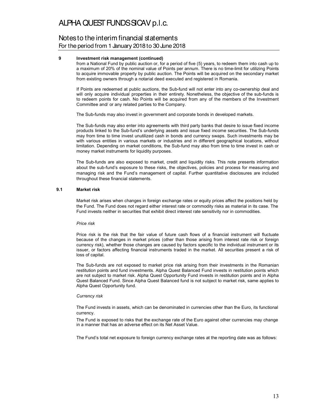## Notes to the interim financial statements For the period from 1 January 2018 to 30 June 2018

#### **9 Investment risk management (continued)**

from a National Fund by public auction or, for a period of five (5) years, to redeem them into cash up to a maximum of 20% of the nominal value of Points per annum. There is no time-limit for utilizing Points to acquire immovable property by public auction. The Points will be acquired on the secondary market from existing owners through a notarial deed executed and registered in Romania.

If Points are redeemed at public auctions, the Sub-fund will not enter into any co-ownership deal and will only acquire individual properties in their entirety. Nonetheless, the objective of the sub-funds is to redeem points for cash. No Points will be acquired from any of the members of the Investment Committee and/ or any related parties to the Company.

The Sub-funds may also invest in government and corporate bonds in developed markets.

The Sub-funds may also enter into agreements with third party banks that desire to issue fixed income products linked to the Sub-fund's underlying assets and issue fixed income securities. The Sub-funds may from time to time invest unutilized cash in bonds and currency swaps. Such investments may be with various entities in various markets or industries and in different geographical locations, without limitation. Depending on market conditions, the Sub-fund may also from time to time invest in cash or money market instruments for liquidity purposes.

The Sub-funds are also exposed to market, credit and liquidity risks. This note presents information about the sub-fund's exposure to these risks, the objectives, policies and process for measuring and managing risk and the Fund's management of capital. Further quantitative disclosures are included throughout these financial statements.

#### **9.1 Market risk**

Market risk arises when changes in foreign exchange rates or equity prices affect the positions held by the Fund. The Fund does not regard either interest rate or commodity risks as material in its case. The Fund invests neither in securities that exhibit direct interest rate sensitivity nor in commodities.

#### *Price risk*

Price risk is the risk that the fair value of future cash flows of a financial instrument will fluctuate because of the changes in market prices (other than those arising from interest rate risk or foreign currency risk), whether those changes are caused by factors specific to the individual instrument or its issuer, or factors affecting financial instruments traded in the market. All securities present a risk of loss of capital.

The Sub-funds are not exposed to market price risk arising from their investments in the Romanian restitution points and fund investments. Alpha Quest Balanced Fund invests in restitution points which are not subject to market risk. Alpha Quest Opportunity Fund invests in restitution points and in Alpha Quest Balanced Fund. Since Alpha Quest Balanced fund is not subject to market risk, same applies to Alpha Quest Opportunity fund.

#### *Currency risk*

The Fund invests in assets, which can be denominated in currencies other than the Euro, its functional currency.

The Fund is exposed to risks that the exchange rate of the Euro against other currencies may change in a manner that has an adverse effect on its Net Asset Value.

The Fund's total net exposure to foreign currency exchange rates at the reporting date was as follows: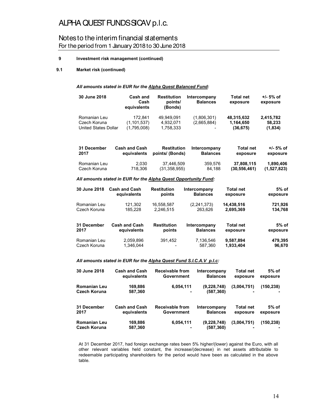## Notes to the interim financial statements For the period from 1 January 2018 to 30 June 2018

#### **9 Investment risk management (continued)**

#### **9.1 Market risk (continued)**

#### *All amounts stated in EUR for the Alpha Quest Balanced Fund:*

| 30 June 2018         | <b>Cash and</b><br>Cash<br>equivalents | <b>Restitution</b><br>points/<br>(Bonds) | Intercompany<br><b>Balances</b> | <b>Total net</b><br>exposure | +/- 5% of<br>exposure |
|----------------------|----------------------------------------|------------------------------------------|---------------------------------|------------------------------|-----------------------|
| Romanian Leu         | 172.841                                | 49.949.091                               | (1,806,301)                     | 48,315,632                   | 2.415.782             |
| Czech Koruna         | (1, 101, 537)                          | 4.932.071                                | (2,665,884)                     | 1,164,650                    | 58.233                |
| United States Dollar | (1,795,008)                            | 1,758,333                                | ٠                               | (36, 675)                    | (1,834)               |

| 31 December<br>2017 | <b>Cash and Cash</b><br>equivalents | Restitution<br>points/ (Bonds) | Intercompany<br><b>Balances</b> | <b>Total net</b><br>exposure | +/- 5% of<br>exposure |
|---------------------|-------------------------------------|--------------------------------|---------------------------------|------------------------------|-----------------------|
| Romanian Leu        | 2.030                               | 37.446.509                     | 359.576                         | 37.808.115                   | 1.890.406             |
| Czech Koruna        | 718.306                             | (31, 358, 955)                 | 84.188                          | (30, 556, 461)               | (1,527,823)           |

#### *All amounts stated in EUR for the Alpha Quest Opportunity Fund:*

| 30 June 2018 | <b>Cash and Cash</b> | <b>Restitution</b> | Intercompany    | <b>Total net</b> | 5% of    |
|--------------|----------------------|--------------------|-----------------|------------------|----------|
|              | equivalents          | points             | <b>Balances</b> | exposure         | exposure |
| Romanian Leu | 121,302              | 16,558,587         | (2, 241, 373)   | 14,438,516       | 721,926  |
| Czech Koruna | 185.228              | 2.246.515          | 263.626         | 2,695,369        | 134,768  |
| 31 December  | <b>Cash and Cash</b> | <b>Restitution</b> | Intercompany    | <b>Total net</b> | 5% of    |
| 2017         | equivalents          | points             | <b>Balances</b> | exposure         | exposure |
| Romanian Leu | 2,059,896            | 391.452            | 7,136,546       | 9,587,894        | 479,395  |
| Czech Koruna | 1.346.044            |                    | 587.360         | 1,933,404        | 96,670   |

#### *All amounts stated in EUR for the Alpha Quest Fund S.I.C.A.V p.l.c:*

| 30 June 2018                               | <b>Cash and Cash</b> | Receivable from        | Intercompany               | <b>Total net</b> | 5% of     |
|--------------------------------------------|----------------------|------------------------|----------------------------|------------------|-----------|
|                                            | equivalents          | <b>Government</b>      | <b>Balances</b>            | exposure         | exposure  |
| <b>Romanian Leu</b><br><b>Czech Koruna</b> | 169,886<br>587,360   | 6,054,111              | (9, 228, 748)<br>(587,360) | (3,004,751)      | (150,238) |
| 31 December                                | <b>Cash and Cash</b> | <b>Receivable from</b> | Intercompany               | <b>Total net</b> | $5%$ of   |
| 2017                                       | equivalents          | Government             | <b>Balances</b>            | exposure         | exposure  |
| <b>Romanian Leu</b><br><b>Czech Koruna</b> | 169,886<br>587,360   | 6,054,111              | (9, 228, 748)<br>(587,360) | (3,004,751)<br>- | (150,238) |

At 31 December 2017, had foreign exchange rates been 5% higher/(lower) against the Euro, with all other relevant variables held constant, the increase/(decrease) in net assets attributable to redeemable participating shareholders for the period would have been as calculated in the above table.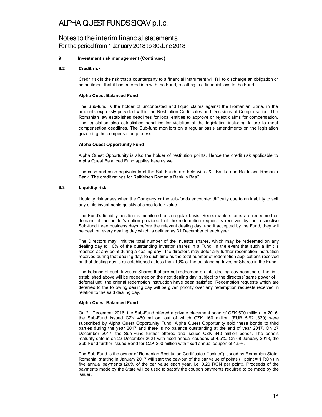### Notes to the interim financial statements For the period from 1 January 2018 to 30 June 2018

#### **9 Investment risk management (Continued)**

#### **9.2 Credit risk**

Credit risk is the risk that a counterparty to a financial instrument will fail to discharge an obligation or commitment that it has entered into with the Fund, resulting in a financial loss to the Fund.

#### **Alpha Quest Balanced Fund**

The Sub-fund is the holder of uncontested and liquid claims against the Romanian State, in the amounts expressly provided within the Restitution Certificates and Decisions of Compensation. The Romanian law establishes deadlines for local entities to approve or reject claims for compensation. The legislation also establishes penalties for violation of the legislation including failure to meet compensation deadlines. The Sub-fund monitors on a regular basis amendments on the legislation governing the compensation process.

#### **Alpha Quest Opportunity Fund**

Alpha Quest Opportunity is also the holder of restitution points. Hence the credit risk applicable to Alpha Quest Balanced Fund applies here as well.

The cash and cash equivalents of the Sub-Funds are held with J&T Banka and Raiffeisen Romania Bank. The credit ratings for Raiffeisen Romania Bank is Baa2.

#### **9.3 Liquidity risk**

Liquidity risk arises when the Company or the sub-funds encounter difficulty due to an inability to sell any of its investments quickly at close to fair value.

The Fund's liquidity position is monitored on a regular basis. Redeemable shares are redeemed on demand at the holder's option provided that the redemption request is received by the respective Sub-fund three business days before the relevant dealing day, and if accepted by the Fund, they will be dealt on every dealing day which is defined as 31 December of each year.

The Directors may limit the total number of the Investor shares, which may be redeemed on any dealing day to 10% of the outstanding Investor shares in a Fund. In the event that such a limit is reached at any point during a dealing day , the directors may defer any further redemption instruction received during that dealing day, to such time as the total number of redemption applications received on that dealing day is re-established at less than 10% of the outstanding Investor Shares in the Fund.

The balance of such Investor Shares that are not redeemed on thta dealing day because of the limit established above will be redeemed on the next dealing day, subject to the directors' same power of deferral until the orignal redemption instruction have been satisfied. Redemption requests which are deferred to the following dealing day will be given priority over any redemption requests received in relation to the said dealing day.

#### **Alpha Quest Balanced Fund**

On 21 December 2016, the Sub-Fund offered a private placement bond of CZK 500 million. In 2016, the Sub-Fund issued CZK 460 million, out of which CZK 160 million (EUR 5,921,320) were subscribed by Alpha Quest Opportunity Fund. Alpha Quest Opportunity sold these bonds to third parties during the year 2017 and there is no balance outstanding at the end of year 2017. On 27 December 2017, the Sub-Fund further offered and issued CZK 340 million bonds. The bond's maturity date is on 22 December 2021 with fixed annual coupons of 4.5%. On 08 January 2018, the Sub-Fund further issued Bond for CZK 200 million with fixed annual coupon of 4.5%.

The Sub-Fund is the owner of Romanian Restitution Certificates ("points") issued by Romanian State. Romania, starting in January 2017 will start the pay-out of the par value of points (1 point = 1 RON) in five annual payments (20% of the par value each year, i.e. 0.20 RON per point). Proceeds of the payments made by the State will be used to satisfy the coupon payments required to be made by the issuer.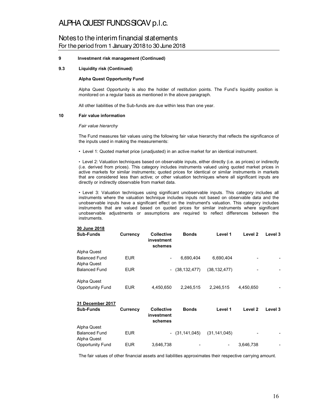### Notes to the interim financial statements For the period from 1 January 2018 to 30 June 2018

#### **9 Investment risk management (Continued)**

#### **9.3 Liquidity risk (Continued)**

#### **Alpha Quest Opportunity Fund**

Alpha Quest Opportunity is also the holder of restitution points. The Fund's liquidity position is monitored on a regular basis as mentioned in the above paragraph.

All other liabilities of the Sub-funds are due within less than one year.

#### **10 Fair value information**

**30 June 2018** 

*Fair value hierarchy* 

The Fund measures fair values using the following fair value hierarchy that reflects the significance of the inputs used in making the measurements:

• Level 1: Quoted market price (unadjusted) in an active market for an identical instrument.

• Level 2: Valuation techniques based on observable inputs, either directly (i.e. as prices) or indirectly (i.e. derived from prices). This category includes instruments valued using quoted market prices in active markets for similar instruments; quoted prices for identical or similar instruments in markets that are considered less than active; or other valuation techniques where all significant inputs are directly or indirectly observable from market data.

• Level 3: Valuation techniques using significant unobservable inputs. This category includes all instruments where the valuation technique includes inputs not based on observable data and the unobservable inputs have a significant effect on the instrument's valuation. This category includes instruments that are valued based on quoted prices for similar instruments where significant unobservable adjustments or assumptions are required to reflect differences between the instruments.

| <b>SO JULIE ZUTO</b>                |                 |                                            |                  |                          |           |         |
|-------------------------------------|-----------------|--------------------------------------------|------------------|--------------------------|-----------|---------|
| Sub-Funds                           | <b>Currency</b> | <b>Collective</b><br>investment<br>schemes | <b>Bonds</b>     | Level 1                  | Level 2   | Level 3 |
| Alpha Quest                         |                 |                                            |                  |                          |           |         |
| <b>Balanced Fund</b><br>Alpha Quest | <b>EUR</b>      | $\overline{\phantom{a}}$                   | 6,690,404        | 6,690,404                |           |         |
| <b>Balanced Fund</b>                | <b>EUR</b>      |                                            | $-$ (38,132,477) | (38, 132, 477)           |           |         |
| Alpha Quest                         |                 |                                            |                  |                          |           |         |
| <b>Opportunity Fund</b>             | <b>EUR</b>      | 4,450,650                                  | 2,246,515        | 2,246,515                | 4,450,650 |         |
| 31 December 2017                    |                 |                                            |                  |                          |           |         |
| <b>Sub-Funds</b>                    | Currency        | <b>Collective</b><br>investment<br>schemes | <b>Bonds</b>     | Level 1                  | Level 2   | Level 3 |
| Alpha Quest                         |                 |                                            |                  |                          |           |         |
| <b>Balanced Fund</b><br>Alpha Quest | <b>EUR</b>      |                                            | - (31,141,045)   | (31, 141, 045)           |           |         |
| <b>Opportunity Fund</b>             | <b>EUR</b>      | 3,646,738                                  |                  | $\overline{\phantom{0}}$ | 3,646,738 |         |

The fair values of other financial assets and liabilities approximates their respective carrying amount.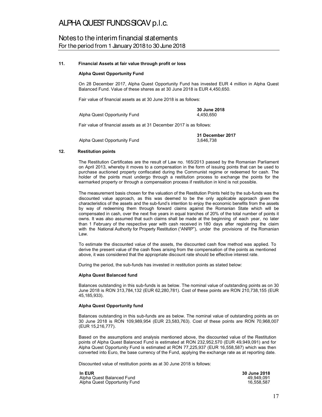### Notes to the interim financial statements For the period from 1 January 2018 to 30 June 2018

#### **11. Financial Assets at fair value through profit or loss**

#### **Alpha Quest Opportunity Fund**

On 28 December 2017, Alpha Quest Opportunity Fund has invested EUR 4 million in Alpha Quest Balanced Fund. Value of these shares as at 30 June 2018 is EUR 4,450,650.

Fair value of financial assets as at 30 June 2018 is as follows:

|                              | 30 June 2018 |
|------------------------------|--------------|
| Alpha Quest Opportunity Fund | 4.450.650    |

Fair value of financial assets as at 31 December 2017 is as follows:

Alpha Quest Opportunity Fund 3,646,738

**31 December 2017** 

#### **12. Restitution points**

The Restitution Certificates are the result of Law no. 165/2013 passed by the Romanian Parliament on April 2013, whereby it moves to a compensation in the form of issuing points that can be used to purchase auctioned property confiscated during the Communist regime or redeemed for cash. The holder of the points must undergo through a restitution process to exchange the points for the earmarked property or through a compensation process if restitution in kind is not possible.

The measurement basis chosen for the valuation of the Restitution Points held by the sub-funds was the discounted value approach, as this was deemed to be the only applicable approach given the characteristics of the assets and the sub-fund's intention to enjoy the economic benefits from the assets by way of redeeming them through forward claims against the Romanian State which will be compensated in cash, over the next five years in equal tranches of 20% of the total number of points it owns. It was also assumed that such claims shall be made at the beginning of each year, no later than 1 February of the respective year with cash received in 180 days after registering the claim with the National Authority for Property Restitution ("ANRP"), under the provisions of the Romanian Law.

To estimate the discounted value of the assets, the discounted cash flow method was applied. To derive the present value of the cash flows arising from the compensation of the points as mentioned above, it was considered that the appropriate discount rate should be effective interest rate.

During the period, the sub-funds has invested in restitution points as stated below:

#### **Alpha Quest Balanced fund**

Balances outstanding in this sub-funds is as below. The nominal value of outstanding points as on 30 June 2018 is RON 313,784,132 (EUR 62,280,781). Cost of these points are RON 210,738,155 (EUR 45,185,933).

#### **Alpha Quest Opportunity fund**

Balances outstanding in this sub-funds are as below. The nominal value of outstanding points as on 30 June 2018 is RON 109,989,954 (EUR 23,583,763). Cost of these points are RON 70,968,007 (EUR 15,216,777).

Based on the assumptions and analysis mentioned above, the discounted value of the Restitution points of Alpha Quest Balanced Fund is estimated at RON 232,952,570 (EUR 49,949,091) and for Alpha Quest Opportunity Fund is estimated at RON 77,225,937 (EUR 16,558,587) which was then converted into Euro, the base currency of the Fund, applying the exchange rate as at reporting date.

Discounted value of restitution points as at 30 June 2018 is follows:

**In EUR 30 June 2018** Alpha Quest Balanced Fund<br>Alpha Quest Opportunity Fund 49,949,091<br>46,558,587 49,999,091 Alpha Quest Opportunity Fund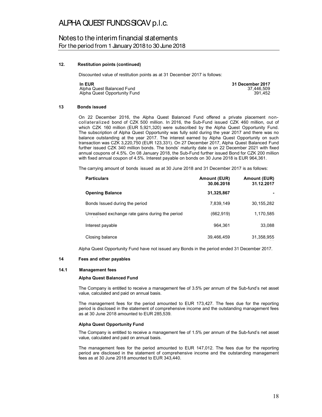### Notes to the interim financial statements For the period from 1 January 2018 to 30 June 2018

#### **12. Restitution points (continued)**

Discounted value of restitution points as at 31 December 2017 is follows:

**In EUR 31 December 2017** Alpha Quest Balanced Fund<br>Alpha Quest Opportunity Fund 391,452 Alpha Quest Opportunity Fund

#### **13 Bonds issued**

On 22 December 2016, the Alpha Quest Balanced Fund offered a private placement noncollateralized bond of CZK 500 million. In 2016, the Sub-Fund issued CZK 460 million, out of which CZK 160 million (EUR 5,921,320) were subscribed by the Alpha Quest Opportunity Fund. The subscription of Alpha Quest Opportunity was fully sold during the year 2017 and there was no balance outstanding at the year 2017. The interest earned by Alpha Quest Opportunity on such transaction was CZK 3,220,750 (EUR 123,331). On 27 December 2017, Alpha Quest Balanced Fund further issued CZK 340 million bonds. The bonds' maturity date is on 22 December 2021 with fixed annual coupons of 4.5%. On 08 January 2018, the Sub-Fund further issued Bond for CZK 200 million with fixed annual coupon of 4.5%. Interest payable on bonds on 30 June 2018 is EUR 964,361.

The carrying amount of bonds issued as at 30 June 2018 and 31 December 2017 is as follows:

| <b>Particulars</b>                               | Amount (EUR)<br>30.06.2018 | Amount (EUR)<br>31.12.2017 |
|--------------------------------------------------|----------------------------|----------------------------|
| <b>Opening Balance</b>                           | 31,325,867                 |                            |
| Bonds Issued during the period                   | 7,839,149                  | 30,155,282                 |
| Unrealised exchange rate gains during the period | (662,919)                  | 1,170,585                  |
| Interest payable                                 | 964.361                    | 33,088                     |
| Closing balance                                  | 39,466,459                 | 31,358,955                 |

Alpha Quest Opportunity Fund have not issued any Bonds in the period ended 31 December 2017.

#### **14 Fees and other payables**

#### **14.1 Management fees**

#### **Alpha Quest Balanced Fund**

The Company is entitled to receive a management fee of 3.5% per annum of the Sub-fund's net asset value, calculated and paid on annual basis.

The management fees for the period amounted to EUR 173,427. The fees due for the reporting period is disclosed in the statement of comprehensive income and the outstanding management fees as at 30 June 2018 amounted to EUR 285,539.

#### **Alpha Quest Opportunity Fund**

The Company is entitled to receive a management fee of 1.5% per annum of the Sub-fund's net asset value, calculated and paid on annual basis.

The management fees for the period amounted to EUR 147,012. The fees due for the reporting period are disclosed in the statement of comprehensive income and the outstanding management fees as at 30 June 2018 amounted to EUR 343,440.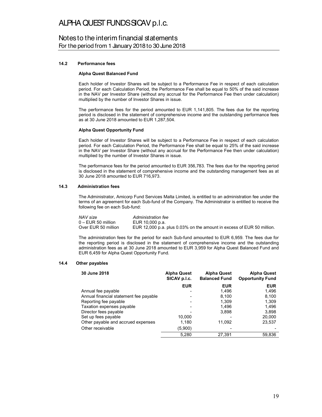### Notes to the interim financial statements For the period from 1 January 2018 to 30 June 2018

#### **14.2 Performance fees**

#### **Alpha Quest Balanced Fund**

Each holder of Investor Shares will be subject to a Performance Fee in respect of each calculation period. For each Calculation Period, the Performance Fee shall be equal to 50% of the said increase in the NAV per Investor Share (without any accrual for the Performance Fee then under calculation) multiplied by the number of Investor Shares in issue.

The performance fees for the period amounted to EUR 1,141,805. The fees due for the reporting period is disclosed in the statement of comprehensive income and the outstanding performance fees as at 30 June 2018 amounted to EUR 1,287,504.

#### **Alpha Quest Opportunity Fund**

Each holder of Investor Shares will be subject to a Performance Fee in respect of each calculation period. For each Calculation Period, the Performance Fee shall be equal to 25% of the said increase in the NAV per Investor Share (without any accrual for the Performance Fee then under calculation) multiplied by the number of Investor Shares in issue.

The performance fees for the period amounted to EUR 356,783. The fees due for the reporting period is disclosed in the statement of comprehensive income and the outstanding management fees as at 30 June 2018 amounted to EUR 716,973.

#### **14.3 Administration fees**

The Administrator, Amicorp Fund Services Malta Limited, is entitled to an administration fee under the terms of an agreement for each Sub-fund of the Company. The Administrator is entitled to receive the following fee on each Sub-fund:

| NAV size             | Administration fee                                                    |
|----------------------|-----------------------------------------------------------------------|
| $0 - EUR$ 50 million | EUR 10,000 p.a.                                                       |
| Over EUR 50 million  | EUR 12,000 p.a. plus 0.03% on the amount in excess of EUR 50 million. |

The administration fees for the period for each Sub-fund amounted to EUR 6,959. The fees due for the reporting period is disclosed in the statement of comprehensive income and the outstanding administration fees as at 30 June 2018 amounted to EUR 3,959 for Alpha Quest Balanced Fund and EUR 6,459 for Alpha Quest Opportunity Fund.

#### **14.4 Other payables**

| 30 June 2018                           | <b>Alpha Quest</b><br>SICAV p.l.c. | <b>Alpha Quest</b><br><b>Balanced Fund</b> | <b>Alpha Quest</b><br><b>Opportunity Fund</b> |
|----------------------------------------|------------------------------------|--------------------------------------------|-----------------------------------------------|
|                                        | <b>EUR</b>                         | <b>EUR</b>                                 | <b>EUR</b>                                    |
| Annual fee payable                     |                                    | 1,496                                      | 1,496                                         |
| Annual financial statement fee payable |                                    | 8,100                                      | 8,100                                         |
| Reporting fee payable                  |                                    | 1.309                                      | 1,309                                         |
| Taxation expenses payable              |                                    | 1.496                                      | 1.496                                         |
| Director fees payable                  |                                    | 3.898                                      | 3,898                                         |
| Set up fees payable                    | 10.000                             |                                            | 20,000                                        |
| Other payable and accrued expenses     | 1,180                              | 11,092                                     | 23,537                                        |
| Other receivable                       | (5,900)                            |                                            |                                               |
|                                        | 5.280                              | 27.391                                     | 59.836                                        |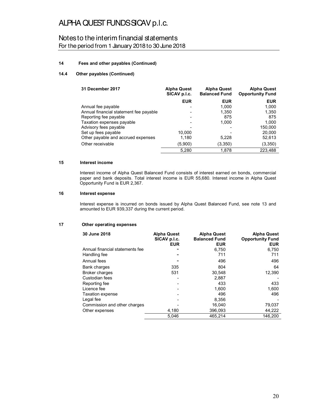### Notes to the interim financial statements For the period from 1 January 2018 to 30 June 2018

#### **14 Fees and other payables (Continued)**

#### **14.4 Other payables (Continued)**

| 31 December 2017                       | <b>Alpha Quest</b><br>SICAV p.l.c. | <b>Alpha Quest</b><br><b>Balanced Fund</b> | <b>Alpha Quest</b><br><b>Opportunity Fund</b> |
|----------------------------------------|------------------------------------|--------------------------------------------|-----------------------------------------------|
|                                        | <b>EUR</b>                         | <b>EUR</b>                                 | <b>EUR</b>                                    |
| Annual fee payable                     |                                    | 1.000                                      | 1,000                                         |
| Annual financial statement fee payable |                                    | 1.350                                      | 1,350                                         |
| Reporting fee payable                  |                                    | 875                                        | 875                                           |
| Taxation expenses payable              |                                    | 1.000                                      | 1,000                                         |
| Advisory fees payable                  |                                    |                                            | 150.000                                       |
| Set up fees payable                    | 10,000                             |                                            | 20,000                                        |
| Other payable and accrued expenses     | 1.180                              | 5.228                                      | 52,613                                        |
| Other receivable                       | (5,900)                            | (3,350)                                    | (3,350)                                       |
|                                        | 5,280                              | 1,878                                      | 223,488                                       |

#### **15 Interest income**

Interest income of Alpha Quest Balanced Fund consists of interest earned on bonds, commercial paper and bank deposits. Total interest income is EUR 55,680. Interest income in Alpha Quest Opportunity Fund is EUR 2,367.

#### **16 Interest expense**

Interest expense is incurred on bonds issued by Alpha Quest Balanced Fund, see note 13 and amounted to EUR 939,337 during the current period.

#### **17 Other operating expenses**

| 30 June 2018                    | <b>Alpha Quest</b><br>SICAV p.l.c.<br><b>EUR</b> | <b>Alpha Quest</b><br><b>Balanced Fund</b><br><b>EUR</b> | <b>Alpha Quest</b><br><b>Opportunity Fund</b><br><b>EUR</b> |
|---------------------------------|--------------------------------------------------|----------------------------------------------------------|-------------------------------------------------------------|
| Annual financial statements fee |                                                  | 6,750                                                    | 6,750                                                       |
| Handling fee                    |                                                  | 711                                                      | 711                                                         |
| Annual fees                     |                                                  | 496                                                      | 496                                                         |
| Bank charges                    | 335                                              | 804                                                      | 64                                                          |
| <b>Broker charges</b>           | 531                                              | 30,548                                                   | 12,390                                                      |
| Custodian fees                  |                                                  | 2,887                                                    |                                                             |
| Reporting fee                   |                                                  | 433                                                      | 433                                                         |
| Licence fee                     |                                                  | 1,600                                                    | 1,600                                                       |
| <b>Taxation expense</b>         |                                                  | 496                                                      | 496                                                         |
| Legal fee                       |                                                  | 8,356                                                    |                                                             |
| Commission and other charges    |                                                  | 16.040                                                   | 79,037                                                      |
| Other expenses                  | 4,180                                            | 396,093                                                  | 44,222                                                      |
|                                 | 5.046                                            | 465.214                                                  | 146.200                                                     |